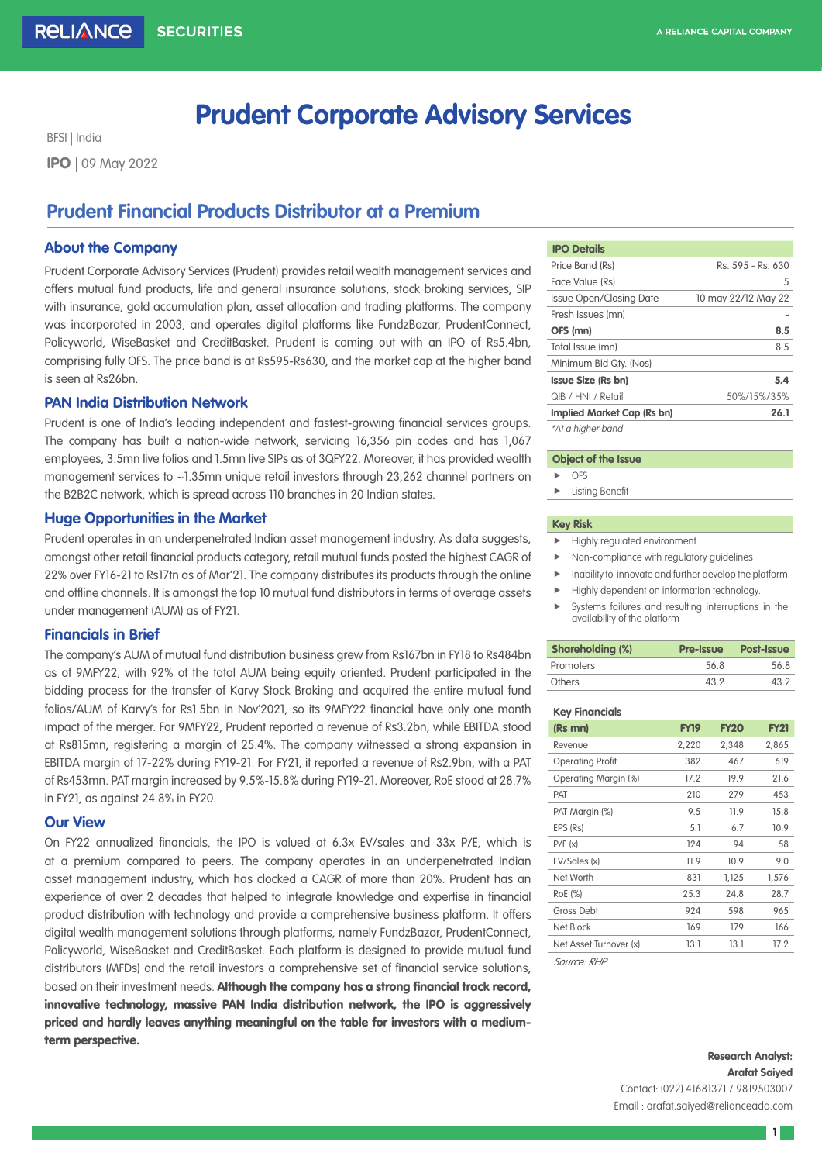# **Prudent Corporate Advisory Services**

BFSI | India IPO | 09 May 2022

# **Prudent Financial Products Distributor at a Premium**

# **About the Company**

Prudent Corporate Advisory Services (Prudent) provides retail wealth management services and offers mutual fund products, life and general insurance solutions, stock broking services, SIP with insurance, gold accumulation plan, asset allocation and trading platforms. The company was incorporated in 2003, and operates digital platforms like FundzBazar, PrudentConnect, Policyworld, WiseBasket and CreditBasket. Prudent is coming out with an IPO of Rs5.4bn, comprising fully OFS. The price band is at Rs595-Rs630, and the market cap at the higher band is seen at Rs26bn.

# **PAN India Distribution Network**

Prudent is one of India's leading independent and fastest-growing financial services groups. The company has built a nation-wide network, servicing 16,356 pin codes and has 1,067 employees, 3.5mn live folios and 1.5mn live SIPs as of 3QFY22. Moreover, it has provided wealth management services to ~1.35mn unique retail investors through 23,262 channel partners on the B2B2C network, which is spread across 110 branches in 20 Indian states.

# **Huge Opportunities in the Market**

Prudent operates in an underpenetrated Indian asset management industry. As data suggests, amongst other retail financial products category, retail mutual funds posted the highest CAGR of 22% over FY16-21 to Rs17tn as of Mar'21. The company distributes its products through the online and offline channels. It is amongst the top 10 mutual fund distributors in terms of average assets under management (AUM) as of FY21.

# **Financials in Brief**

The company's AUM of mutual fund distribution business grew from Rs167bn in FY18 to Rs484bn as of 9MFY22, with 92% of the total AUM being equity oriented. Prudent participated in the bidding process for the transfer of Karvy Stock Broking and acquired the entire mutual fund folios/AUM of Karvy's for Rs1.5bn in Nov'2021, so its 9MFY22 financial have only one month impact of the merger. For 9MFY22, Prudent reported a revenue of Rs3.2bn, while EBITDA stood at Rs815mn, registering a margin of 25.4%. The company witnessed a strong expansion in EBITDA margin of 17-22% during FY19-21. For FY21, it reported a revenue of Rs2.9bn, with a PAT of Rs453mn. PAT margin increased by 9.5%-15.8% during FY19-21. Moreover, RoE stood at 28.7% in FY21, as against 24.8% in FY20.

# **Our View**

On FY22 annualized financials, the IPO is valued at 6.3x EV/sales and 33x P/E, which is at a premium compared to peers. The company operates in an underpenetrated Indian asset management industry, which has clocked a CAGR of more than 20%. Prudent has an experience of over 2 decades that helped to integrate knowledge and expertise in financial product distribution with technology and provide a comprehensive business platform. It offers digital wealth management solutions through platforms, namely FundzBazar, PrudentConnect, Policyworld, WiseBasket and CreditBasket. Each platform is designed to provide mutual fund distributors (MFDs) and the retail investors a comprehensive set of financial service solutions, based on their investment needs. Although the company has a strong financial track record, innovative technology, massive PAN India distribution network, the IPO is aggressively priced and hardly leaves anything meaningful on the table for investors with a mediumterm perspective.

| <b>IPO Details</b>             |                     |  |  |
|--------------------------------|---------------------|--|--|
| Price Band (Rs)                | Rs. 595 - Rs. 630   |  |  |
| Face Value (Rs)                | 5                   |  |  |
| <b>Issue Open/Closing Date</b> | 10 may 22/12 May 22 |  |  |
| Fresh Issues (mn)              |                     |  |  |
| OFS (mn)                       | 8.5                 |  |  |
| Total Issue (mn)               | 85                  |  |  |
| Minimum Bid Qty. (Nos)         |                     |  |  |
| <b>Issue Size (Rs bn)</b>      | 5.4                 |  |  |
| QIB / HNI / Retail             | 50%/15%/35%         |  |  |
| Implied Market Cap (Rs bn)     | 26.1                |  |  |
| $*$ At a higher hand           |                     |  |  |

#### \*At a higher band

#### **Object of the Issue**

- $\triangleright$  OFS
	- $\blacktriangleright$  Listing Benefit

### **Key Risk**

- Highly regulated environment
- $\blacktriangleright$  Non-compliance with regulatory guidelines
- $\blacktriangleright$  Inability to innovate and further develop the platform
- $\blacktriangleright$  Highly dependent on information technology.
- $\blacktriangleright$  Systems failures and resulting interruptions in the availability of the platform

| <b>Shareholding (%)</b> | <b>Pre-Issue</b> | <b>Post-Issue</b> |  |
|-------------------------|------------------|-------------------|--|
| Promoters               | 568              | 568               |  |
| Others                  | 43.2             | 43.2              |  |

#### **Key Financials**

| (Rs mn)                     | FY19  | <b>FY20</b> | <b>FY21</b> |
|-----------------------------|-------|-------------|-------------|
| Revenue                     | 2,220 | 2,348       | 2,865       |
| <b>Operating Profit</b>     | 382   | 467         | 619         |
| <b>Operating Margin (%)</b> | 17.2  | 19.9        | 21.6        |
| <b>PAT</b>                  | 210   | 279         | 453         |
| PAT Margin (%)              | 9.5   | 11.9        | 15.8        |
| EPS (Rs)                    | 5.1   | 6.7         | 10.9        |
| P/E(x)                      | 124   | 94          | 58          |
| EV/Sales (x)                | 11.9  | 10.9        | 9.0         |
| Net Worth                   | 831   | 1,125       | 1,576       |
| RoE (%)                     | 25.3  | 24.8        | 28.7        |
| <b>Gross Debt</b>           | 924   | 598         | 965         |
| Net Block                   | 169   | 179         | 166         |
| Net Asset Turnover (x)      | 13.1  | 13.1        | 17.2        |

*Source: RHP* 

# **Research Analyst: Arafat Saiyed** Contact: (022) 41681371 / 9819503007 Email : arafat.saiyed@relianceada.com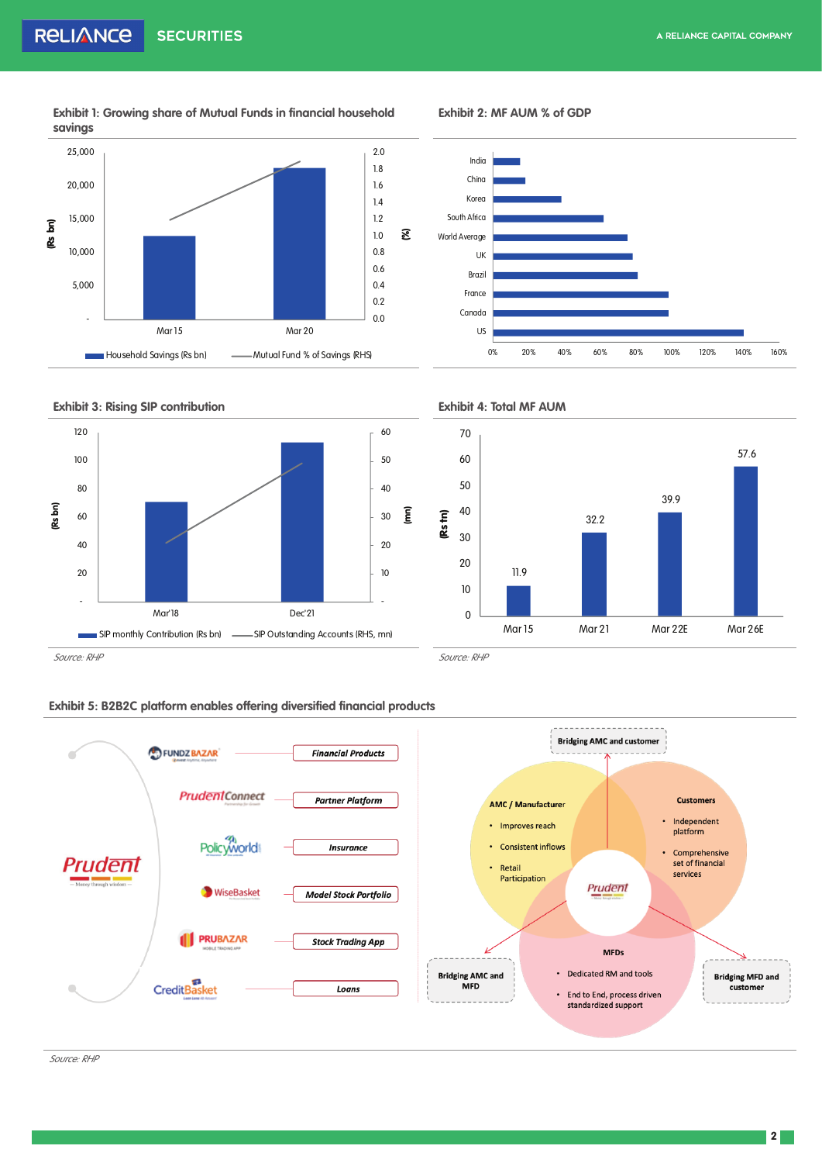**Exhibit 1: Growing share of Mutual Funds in financial household savings** 



**Exhibit 2: MF AUM % of GDP**









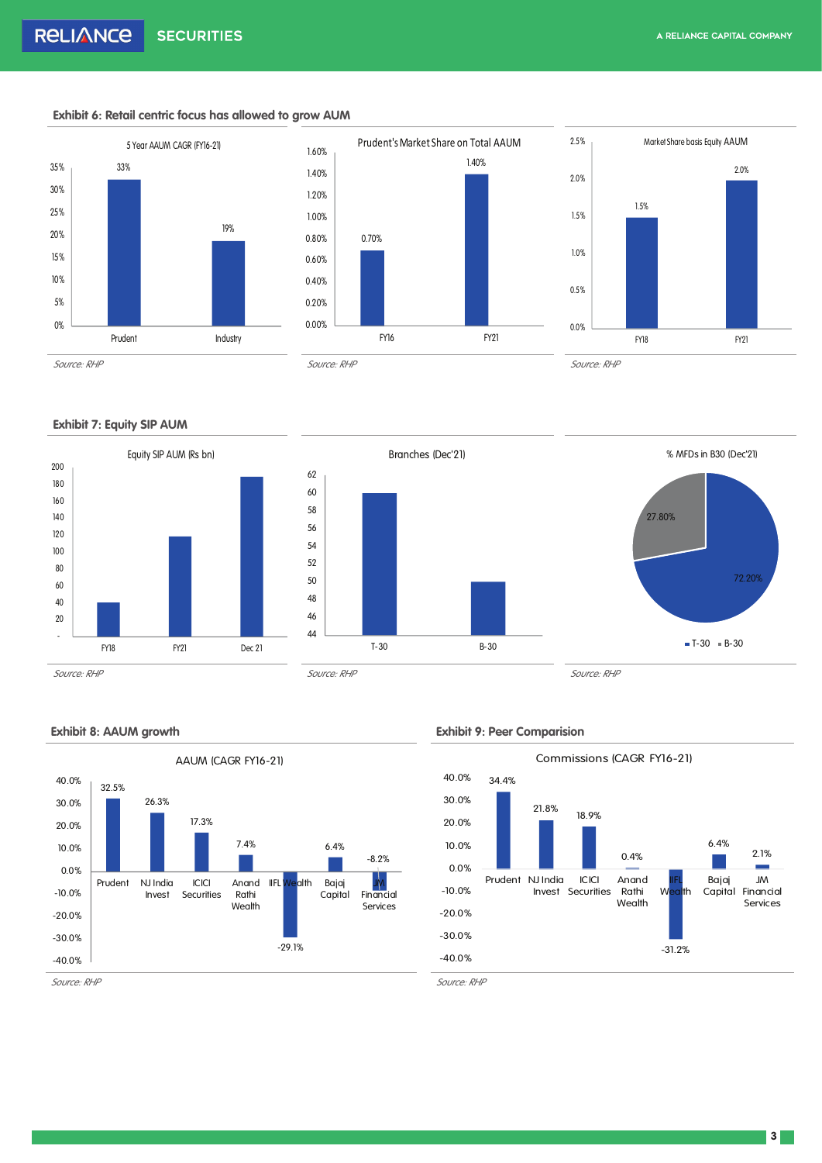### **Exhibit 6: Retail centric focus has allowed to grow AUM**







# **Exhibit 7: Equity SIP AUM**









## **Exhibit 8: AAUM growth Exhibit 9: Peer Comparision**

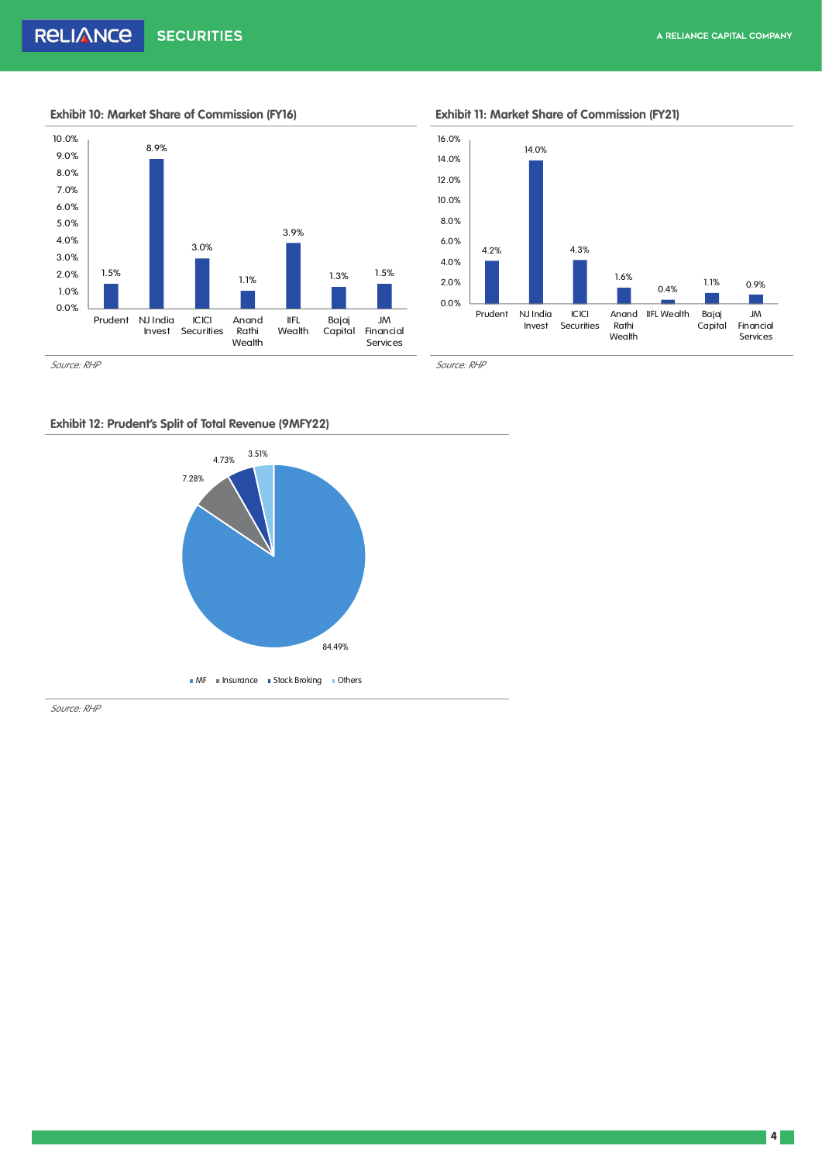

# **Exhibit 10: Market Share of Commission (FY16) Exhibit 11: Market Share of Commission (FY21)**



# **Exhibit 12: Prudent's Split of Total Revenue (9MFY22)**



*Source: RHP*